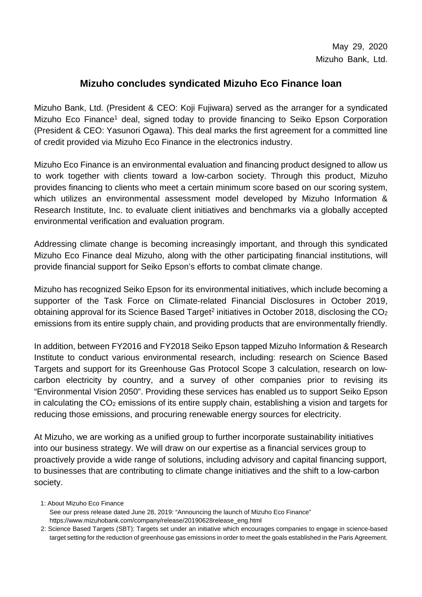## **Mizuho concludes syndicated Mizuho Eco Finance loan**

Mizuho Bank, Ltd. (President & CEO: Koji Fujiwara) served as the arranger for a syndicated Mizuho Eco Finance<sup>1</sup> deal, signed today to provide financing to Seiko Epson Corporation (President & CEO: Yasunori Ogawa). This deal marks the first agreement for a committed line of credit provided via Mizuho Eco Finance in the electronics industry.

Mizuho Eco Finance is an environmental evaluation and financing product designed to allow us to work together with clients toward a low-carbon society. Through this product, Mizuho provides financing to clients who meet a certain minimum score based on our scoring system, which utilizes an environmental assessment model developed by Mizuho Information & Research Institute, Inc. to evaluate client initiatives and benchmarks via a globally accepted environmental verification and evaluation program.

Addressing climate change is becoming increasingly important, and through this syndicated Mizuho Eco Finance deal Mizuho, along with the other participating financial institutions, will provide financial support for Seiko Epson's efforts to combat climate change.

Mizuho has recognized Seiko Epson for its environmental initiatives, which include becoming a supporter of the Task Force on Climate-related Financial Disclosures in October 2019, obtaining approval for its Science Based Target<sup>2</sup> initiatives in October 2018, disclosing the  $CO<sub>2</sub>$ emissions from its entire supply chain, and providing products that are environmentally friendly.

In addition, between FY2016 and FY2018 Seiko Epson tapped Mizuho Information & Research Institute to conduct various environmental research, including: research on Science Based Targets and support for its Greenhouse Gas Protocol Scope 3 calculation, research on lowcarbon electricity by country, and a survey of other companies prior to revising its "Environmental Vision 2050". Providing these services has enabled us to support Seiko Epson in calculating the CO2 emissions of its entire supply chain, establishing a vision and targets for reducing those emissions, and procuring renewable energy sources for electricity.

At Mizuho, we are working as a unified group to further incorporate sustainability initiatives into our business strategy. We will draw on our expertise as a financial services group to proactively provide a wide range of solutions, including advisory and capital financing support, to businesses that are contributing to climate change initiatives and the shift to a low-carbon society.

1: About Mizuho Eco Finance See our press release dated June 28, 2019: "Announcing the launch of Mizuho Eco Finance" https://www.mizuhobank.com/company/release/20190628release\_eng.html

2: Science Based Targets (SBT): Targets set under an initiative which encourages companies to engage in science-based target setting for the reduction of greenhouse gas emissions in order to meet the goals established in the Paris Agreement.